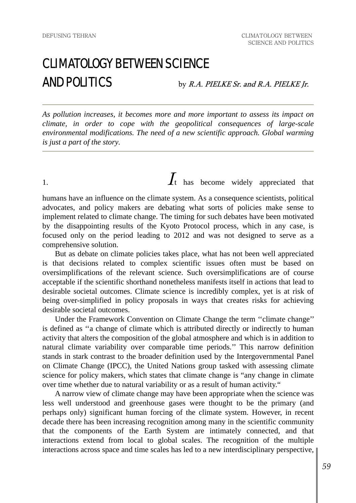## CLIMATOLOGY BETWEEN SCIENCE  $\mathbf{AND}$  POLITICS by R.A. PIELKE Sr. and R.A. PIELKE Jr.

*As pollution increases, it becomes more and more important to assess its impact on climate, in order to cope with the geopolitical consequences of large-scale environmental modifications. The need of a new scientific approach. Global warming is just a part of the story.* 

1.  $\int_{t}$  has become widely appreciated that

humans have an influence on the climate system. As a consequence scientists, political advocates, and policy makers are debating what sorts of policies make sense to implement related to climate change. The timing for such debates have been motivated by the disappointing results of the Kyoto Protocol process, which in any case, is focused only on the period leading to 2012 and was not designed to serve as a comprehensive solution.

 But as debate on climate policies takes place, what has not been well appreciated is that decisions related to complex scientific issues often must be based on oversimplifications of the relevant science. Such oversimplifications are of course acceptable if the scientific shorthand nonetheless manifests itself in actions that lead to desirable societal outcomes. Climate science is incredibly complex, yet is at risk of being over-simplified in policy proposals in ways that creates risks for achieving desirable societal outcomes.

 Under the Framework Convention on Climate Change the term ''climate change'' is defined as ''a change of climate which is attributed directly or indirectly to human activity that alters the composition of the global atmosphere and which is in addition to natural climate variability over comparable time periods.'' This narrow definition stands in stark contrast to the broader definition used by the Intergovernmental Panel on Climate Change (IPCC), the United Nations group tasked with assessing climate science for policy makers, which states that climate change is "any change in climate over time whether due to natural variability or as a result of human activity."

 A narrow view of climate change may have been appropriate when the science was less well understood and greenhouse gases were thought to be the primary (and perhaps only) significant human forcing of the climate system. However, in recent decade there has been increasing recognition among many in the scientific community that the components of the Earth System are intimately connected, and that interactions extend from local to global scales. The recognition of the multiple interactions across space and time scales has led to a new interdisciplinary perspective,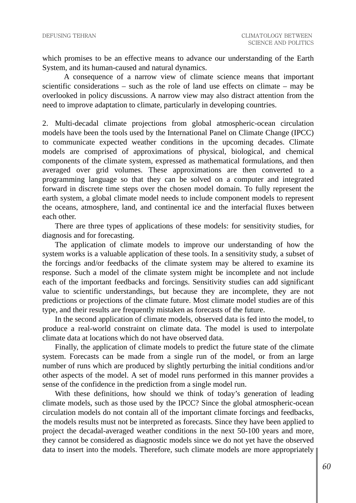which promises to be an effective means to advance our understanding of the Earth System, and its human-caused and natural dynamics.

A consequence of a narrow view of climate science means that important scientific considerations – such as the role of land use effects on climate – may be overlooked in policy discussions. A narrow view may also distract attention from the need to improve adaptation to climate, particularly in developing countries.

2. Multi-decadal climate projections from global atmospheric-ocean circulation models have been the tools used by the International Panel on Climate Change (IPCC) to communicate expected weather conditions in the upcoming decades. Climate models are comprised of approximations of physical, biological, and chemical components of the climate system, expressed as mathematical formulations, and then averaged over grid volumes. These approximations are then converted to a programming language so that they can be solved on a computer and integrated forward in discrete time steps over the chosen model domain. To fully represent the earth system, a global climate model needs to include component models to represent the oceans, atmosphere, land, and continental ice and the interfacial fluxes between each other.

 There are three types of applications of these models: for sensitivity studies, for diagnosis and for forecasting.

 The application of climate models to improve our understanding of how the system works is a valuable application of these tools. In a sensitivity study, a subset of the forcings and/or feedbacks of the climate system may be altered to examine its response. Such a model of the climate system might be incomplete and not include each of the important feedbacks and forcings. Sensitivity studies can add significant value to scientific understandings, but because they are incomplete, they are not predictions or projections of the climate future. Most climate model studies are of this type, and their results are frequently mistaken as forecasts of the future.

 In the second application of climate models, observed data is fed into the model, to produce a real-world constraint on climate data. The model is used to interpolate climate data at locations which do not have observed data.

 Finally, the application of climate models to predict the future state of the climate system. Forecasts can be made from a single run of the model, or from an large number of runs which are produced by slightly perturbing the initial conditions and/or other aspects of the model. A set of model runs performed in this manner provides a sense of the confidence in the prediction from a single model run.

 With these definitions, how should we think of today's generation of leading climate models, such as those used by the IPCC? Since the global atmospheric-ocean circulation models do not contain all of the important climate forcings and feedbacks, the models results must not be interpreted as forecasts. Since they have been applied to project the decadal-averaged weather conditions in the next 50-100 years and more, they cannot be considered as diagnostic models since we do not yet have the observed data to insert into the models. Therefore, such climate models are more appropriately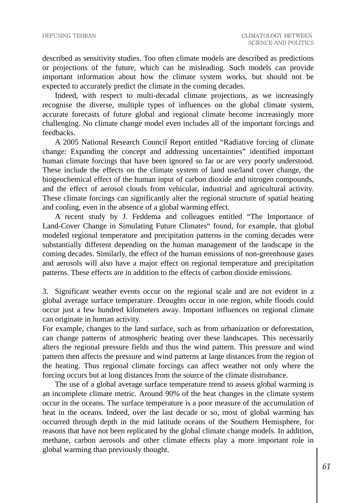described as sensitivity studies. Too often climate models are described as predictions or projections of the future, which can be misleading. Such models can provide important information about how the climate system works, but should not be expected to accurately predict the climate in the coming decades.

 Indeed, with respect to multi-decadal climate projections, as we increasingly recognise the diverse, multiple types of influences on the global climate system, accurate forecasts of future global and regional climate become increasingly more challenging. No climate change model even includes all of the important forcings and feedbacks.

 A 2005 National Research Council Report entitled "Radiative forcing of climate change: Expanding the concept and addressing uncertainties" identified important human climate forcings that have been ignored so far or are very poorly understood. These include the effects on the climate system of land use/land cover change, the biogeochemical effect of the human input of carbon dioxide and nitrogen compounds, and the effect of aerosol clouds from vehicular, industrial and agricultural activity. These climate forcings can significantly alter the regional structure of spatial heating and cooling, even in the absence of a global warming effect.

 A recent study by J. Feddema and colleagues entitled "The Importance of Land-Cover Change in Simulating Future Climates" found, for example, that global modeled regional temperature and precipitation patterns in the coming decades were substantially different depending on the human management of the landscape in the coming decades. Similarly, the effect of the human emissions of non-greenhouse gases and aerosols will also have a major effect on regional temperature and precipitation patterns. These effects are in addition to the effects of carbon dioxide emissions.

3. Significant weather events occur on the regional scale and are not evident in a global average surface temperature. Droughts occur in one region, while floods could occur just a few hundred kilometers away. Important influences on regional climate can originate in human activity.

For example, changes to the land surface, such as from urbanization or deforestation, can change patterns of atmospheric heating over these landscapes. This necessarily alters the regional pressure fields and thus the wind pattern. This pressure and wind pattern then affects the pressure and wind patterns at large distances from the region of the heating. Thus regional climate forcings can affect weather not only where the forcing occurs but at long distances from the source of the climate distrubance.

 The use of a global average surface temperature trend to assess global warming is an incomplete climate metric. Around 90% of the heat changes in the climate system occur in the oceans. The surface temperature is a poor measure of the accumulation of heat in the oceans. Indeed, over the last decade or so, most of global warming has occurred through depth in the mid latitude oceans of the Southern Hemisphere, for reasons that have not been replicated by the global climate change models. In addition, methane, carbon aerosols and other climate effects play a more important role in global warming than previously thought.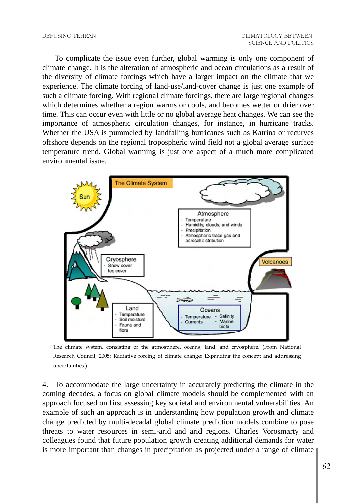To complicate the issue even further, global warming is only one component of climate change. It is the alteration of atmospheric and ocean circulations as a result of the diversity of climate forcings which have a larger impact on the climate that we experience. The climate forcing of land-use/land-cover change is just one example of such a climate forcing. With regional climate forcings, there are large regional changes which determines whether a region warms or cools, and becomes wetter or drier over time. This can occur even with little or no global average heat changes. We can see the importance of atmospheric circulation changes, for instance, in hurricane tracks. Whether the USA is pummeled by landfalling hurricanes such as Katrina or recurves offshore depends on the regional tropospheric wind field not a global average surface temperature trend. Global warming is just one aspect of a much more complicated environmental issue.



The climate system, consisting of the atmosphere, oceans, land, and cryosphere. (From National Research Council, 2005: Radiative forcing of climate change: Expanding the concept and addressing uncertainties.)

4. To accommodate the large uncertainty in accurately predicting the climate in the coming decades, a focus on global climate models should be complemented with an approach focused on first assessing key societal and environmental vulnerabilities. An example of such an approach is in understanding how population growth and climate change predicted by multi-decadal global climate prediction models combine to pose threats to water resources in semi-arid and arid regions. Charles Vorosmarty and colleagues found that future population growth creating additional demands for water is more important than changes in precipitation as projected under a range of climate